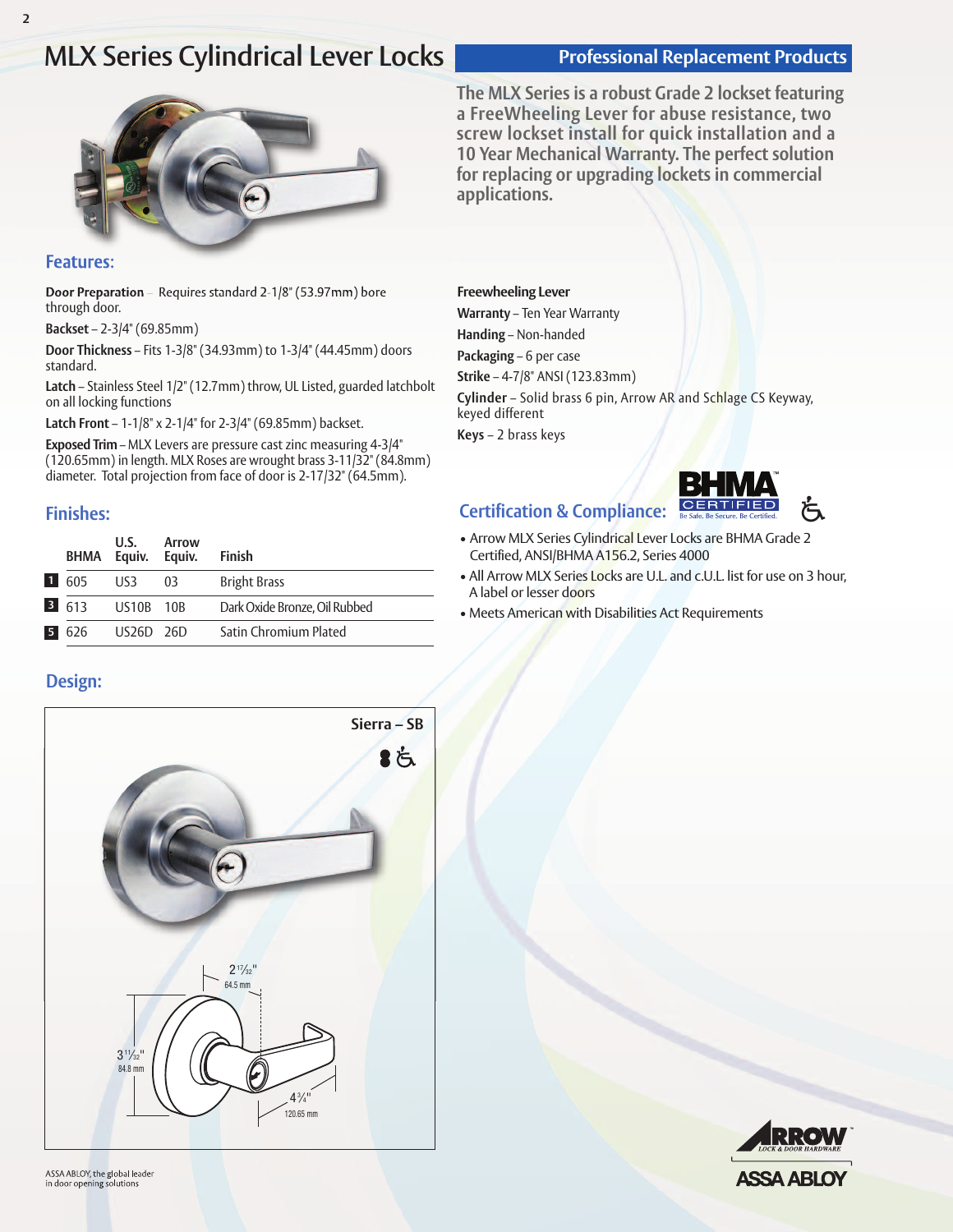# **MLX** Series Cylindrical Lever Locks<br> **Professional Replacement Products**



### **Features:**

**Door Preparation** – Requires standard 2-1/8" (53.97mm) bore through door.

**Backset** – 2-3/4" (69.85mm)

**Door Thickness** – Fits 1-3/8" (34.93mm) to 1-3/4" (44.45mm) doors standard.

**Latch** – Stainless Steel 1/2" (12.7mm) throw, UL Listed, guarded latchbolt on all locking functions

**Latch Front** – 1-1/8" x 2-1/4" for 2-3/4" (69.85mm) backset.

**Exposed Trim** – MLX Levers are pressure cast zinc measuring 4-3/4" (120.65mm) in length. MLX Roses are wrought brass 3-11/32" (84.8mm) diameter. Total projection from face of door is 2-17/32" (64.5mm).

## **Finishes:**

|                    | U.S.<br>BHMA Equiv. Equiv. | Arrow | <b>Finish</b>                 |
|--------------------|----------------------------|-------|-------------------------------|
| $\blacksquare$ 605 | US3                        | -03   | <b>Bright Brass</b>           |
| $3 \quad 613$      | US10B 10B                  |       | Dark Oxide Bronze. Oil Rubbed |
| 5 626              | US26D 26D                  |       | Satin Chromium Plated         |

## **Design:**



**The MLX Series is a robust Grade 2 lockset featuring a FreeWheeling Lever for abuse resistance, two screw lockset install for quick installation and a 10 Year Mechanical Warranty. The perfect solution for replacing or upgrading lockets in commercial applications.**

#### **Freewheeling Lever**

**Warranty** – Ten Year Warranty **Handing** – Non-handed **Packaging** – 6 per case **Strike** – 4-7/8" ANSI (123.83mm) **Cylinder** – Solid brass 6 pin, Arrow AR and Schlage CS Keyway, keyed different **Keys** – 2 brass keys

## **Certification & Compliance:**



- Arrow MLX Series Cylindrical Lever Locks are BHMA Grade 2 Certified, ANSI/BHMA A156.2, Series 4000
- All Arrow MLX Series Locks are U.L. and c.U.L. list for use on 3 hour, A label or lesser doors
- Meets American with Disabilities Act Requirements

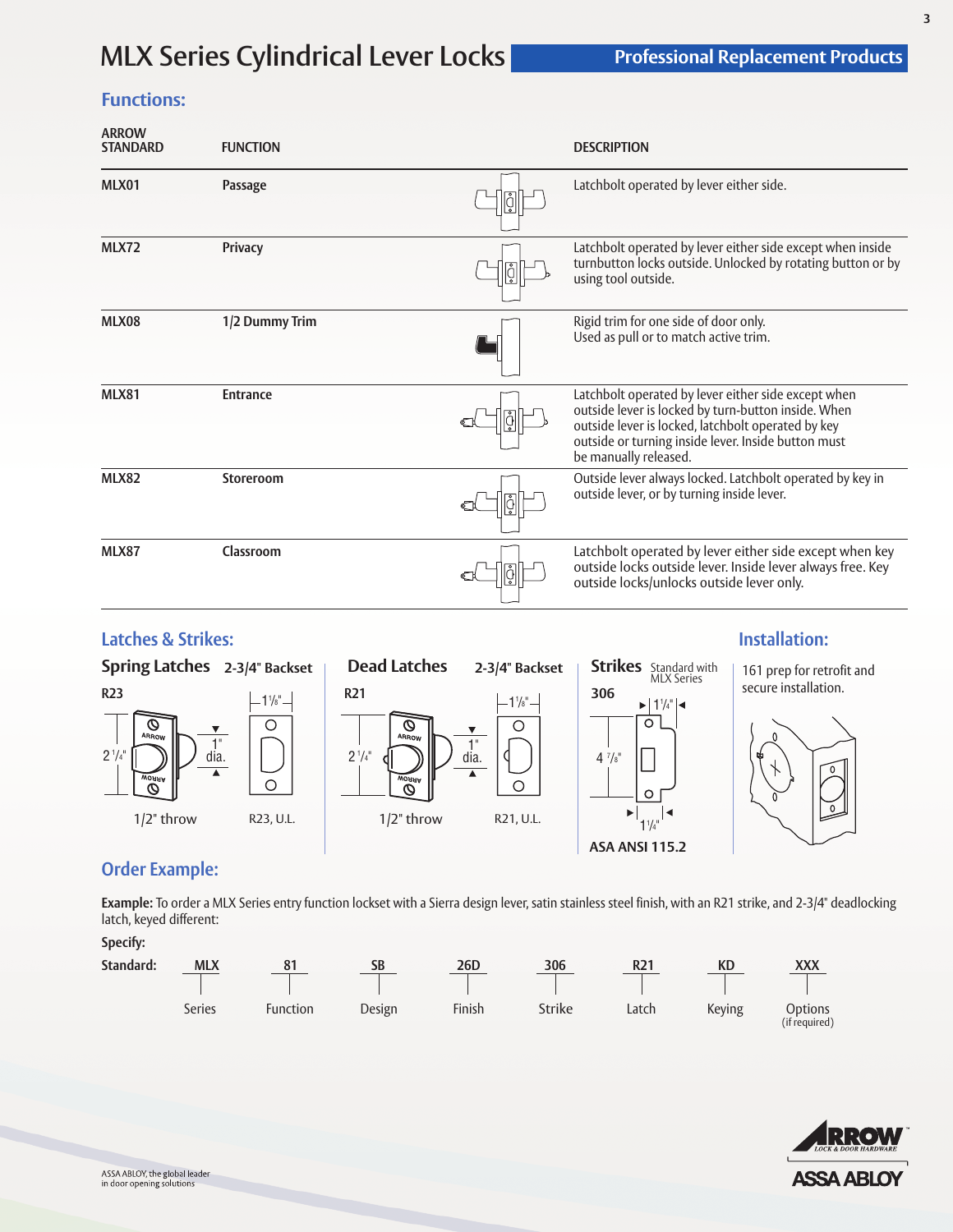# **MLX Series Cylindrical Lever Locks**

## **Functions:**

| <b>ARROW</b><br><b>STANDARD</b> | <b>FUNCTION</b> |    | <b>DESCRIPTION</b>                                                                                                                                                                                                                               |
|---------------------------------|-----------------|----|--------------------------------------------------------------------------------------------------------------------------------------------------------------------------------------------------------------------------------------------------|
| MLX01                           | Passage         | ∣⊽ | Latchbolt operated by lever either side.                                                                                                                                                                                                         |
| <b>MLX72</b>                    | <b>Privacy</b>  |    | Latchbolt operated by lever either side except when inside<br>turnbutton locks outside. Unlocked by rotating button or by<br>using tool outside.                                                                                                 |
| MLX08                           | 1/2 Dummy Trim  |    | Rigid trim for one side of door only.<br>Used as pull or to match active trim.                                                                                                                                                                   |
| <b>MLX81</b>                    | <b>Entrance</b> |    | Latchbolt operated by lever either side except when<br>outside lever is locked by turn-button inside. When<br>outside lever is locked, latchbolt operated by key<br>outside or turning inside lever. Inside button must<br>be manually released. |
| <b>MLX82</b>                    | Storeroom       | ů  | Outside lever always locked. Latchbolt operated by key in<br>outside lever, or by turning inside lever.                                                                                                                                          |
| MLX87                           | Classroom       |    | Latchbolt operated by lever either side except when key<br>outside locks outside lever. Inside lever always free. Key<br>outside locks/unlocks outside lever only.                                                                               |

## **Latches & Strikes: Installation:**



## **Order Example:**

**Example:** To order a MLX Series entry function lockset with a Sierra design lever, satin stainless steel finish, with an R21 strike, and 2-3/4" deadlocking latch, keyed different:

**Specify:**

| Standard: | <b>MLX</b>    | 81       | SB     | 26 <sub>D</sub> | 306    | R <sub>21</sub> | КD     | <b>XXX</b>               |  |
|-----------|---------------|----------|--------|-----------------|--------|-----------------|--------|--------------------------|--|
|           | <b>Series</b> | Function | Design | Finish          | Strike | Latch           | Keying | Options<br>(if required) |  |